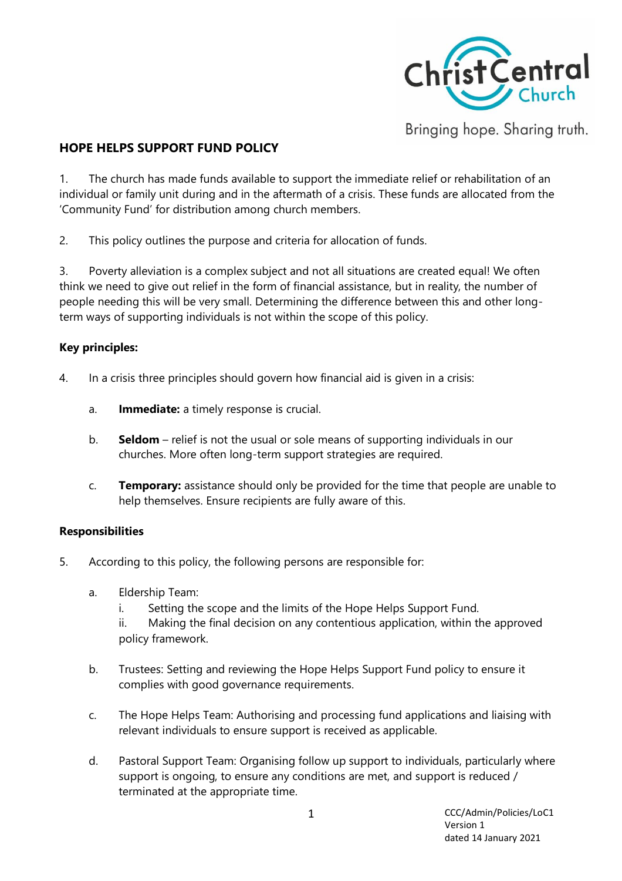

Bringing hope. Sharing truth.

# **HOPE HELPS SUPPORT FUND POLICY**

1. The church has made funds available to support the immediate relief or rehabilitation of an individual or family unit during and in the aftermath of a crisis. These funds are allocated from the 'Community Fund' for distribution among church members.

2. This policy outlines the purpose and criteria for allocation of funds.

3. Poverty alleviation is a complex subject and not all situations are created equal! We often think we need to give out relief in the form of financial assistance, but in reality, the number of people needing this will be very small. Determining the difference between this and other longterm ways of supporting individuals is not within the scope of this policy.

### **Key principles:**

- 4. In a crisis three principles should govern how financial aid is given in a crisis:
	- a. **Immediate:** a timely response is crucial.
	- b. **Seldom**  relief is not the usual or sole means of supporting individuals in our churches. More often long-term support strategies are required.
	- c. **Temporary:** assistance should only be provided for the time that people are unable to help themselves. Ensure recipients are fully aware of this.

#### **Responsibilities**

- 5. According to this policy, the following persons are responsible for:
	- a. Eldership Team:
		- i. Setting the scope and the limits of the Hope Helps Support Fund.

ii. Making the final decision on any contentious application, within the approved policy framework.

- b. Trustees: Setting and reviewing the Hope Helps Support Fund policy to ensure it complies with good governance requirements.
- c. The Hope Helps Team: Authorising and processing fund applications and liaising with relevant individuals to ensure support is received as applicable.
- d. Pastoral Support Team: Organising follow up support to individuals, particularly where support is ongoing, to ensure any conditions are met, and support is reduced / terminated at the appropriate time.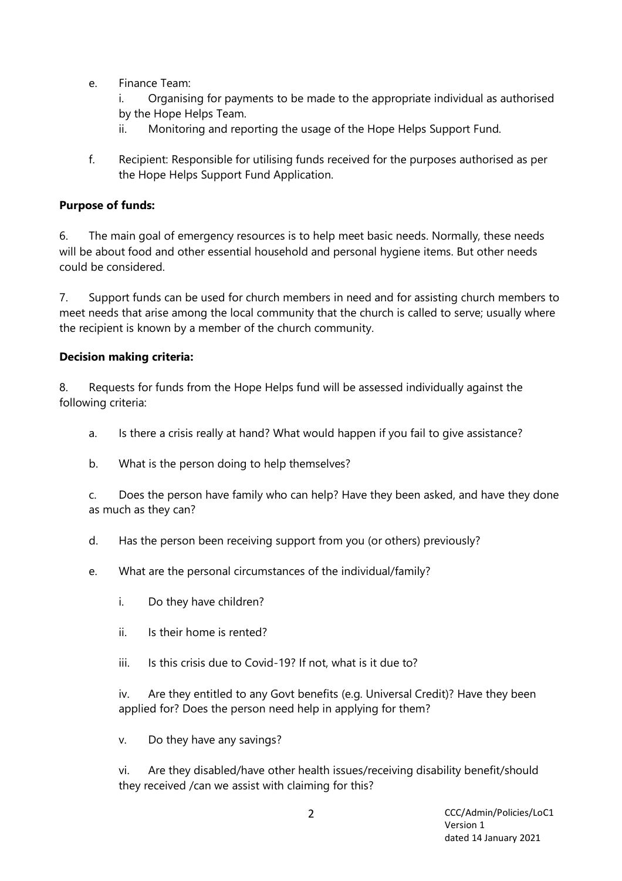e. Finance Team:

i. Organising for payments to be made to the appropriate individual as authorised by the Hope Helps Team.

- ii. Monitoring and reporting the usage of the Hope Helps Support Fund.
- f. Recipient: Responsible for utilising funds received for the purposes authorised as per the Hope Helps Support Fund Application.

### **Purpose of funds:**

6. The main goal of emergency resources is to help meet basic needs. Normally, these needs will be about food and other essential household and personal hygiene items. But other needs could be considered.

7. Support funds can be used for church members in need and for assisting church members to meet needs that arise among the local community that the church is called to serve; usually where the recipient is known by a member of the church community.

#### **Decision making criteria:**

8. Requests for funds from the Hope Helps fund will be assessed individually against the following criteria:

- a. Is there a crisis really at hand? What would happen if you fail to give assistance?
- b. What is the person doing to help themselves?

c. Does the person have family who can help? Have they been asked, and have they done as much as they can?

- d. Has the person been receiving support from you (or others) previously?
- e. What are the personal circumstances of the individual/family?
	- i. Do they have children?
	- ii. Is their home is rented?
	- iii. Is this crisis due to Covid-19? If not, what is it due to?

iv. Are they entitled to any Govt benefits (e.g. Universal Credit)? Have they been applied for? Does the person need help in applying for them?

v. Do they have any savings?

vi. Are they disabled/have other health issues/receiving disability benefit/should they received /can we assist with claiming for this?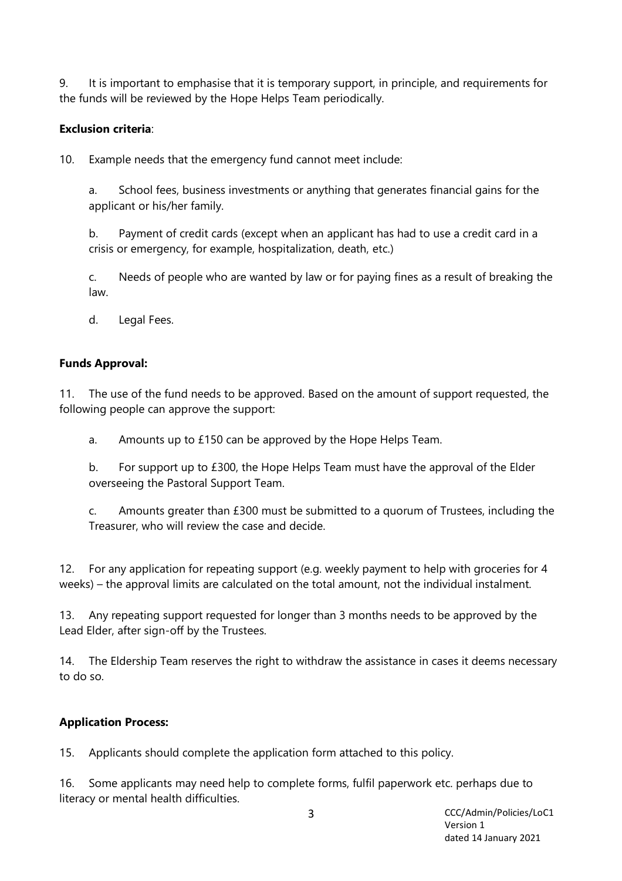9. It is important to emphasise that it is temporary support, in principle, and requirements for the funds will be reviewed by the Hope Helps Team periodically.

# **Exclusion criteria**:

10. Example needs that the emergency fund cannot meet include:

a. School fees, business investments or anything that generates financial gains for the applicant or his/her family.

b. Payment of credit cards (except when an applicant has had to use a credit card in a crisis or emergency, for example, hospitalization, death, etc.)

c. Needs of people who are wanted by law or for paying fines as a result of breaking the law.

d. Legal Fees.

#### **Funds Approval:**

11. The use of the fund needs to be approved. Based on the amount of support requested, the following people can approve the support:

a. Amounts up to £150 can be approved by the Hope Helps Team.

b. For support up to £300, the Hope Helps Team must have the approval of the Elder overseeing the Pastoral Support Team.

c. Amounts greater than £300 must be submitted to a quorum of Trustees, including the Treasurer, who will review the case and decide.

12. For any application for repeating support (e.g. weekly payment to help with groceries for 4 weeks) – the approval limits are calculated on the total amount, not the individual instalment.

13. Any repeating support requested for longer than 3 months needs to be approved by the Lead Elder, after sign-off by the Trustees.

14. The Eldership Team reserves the right to withdraw the assistance in cases it deems necessary to do so.

#### **Application Process:**

15. Applicants should complete the application form attached to this policy.

16. Some applicants may need help to complete forms, fulfil paperwork etc. perhaps due to literacy or mental health difficulties.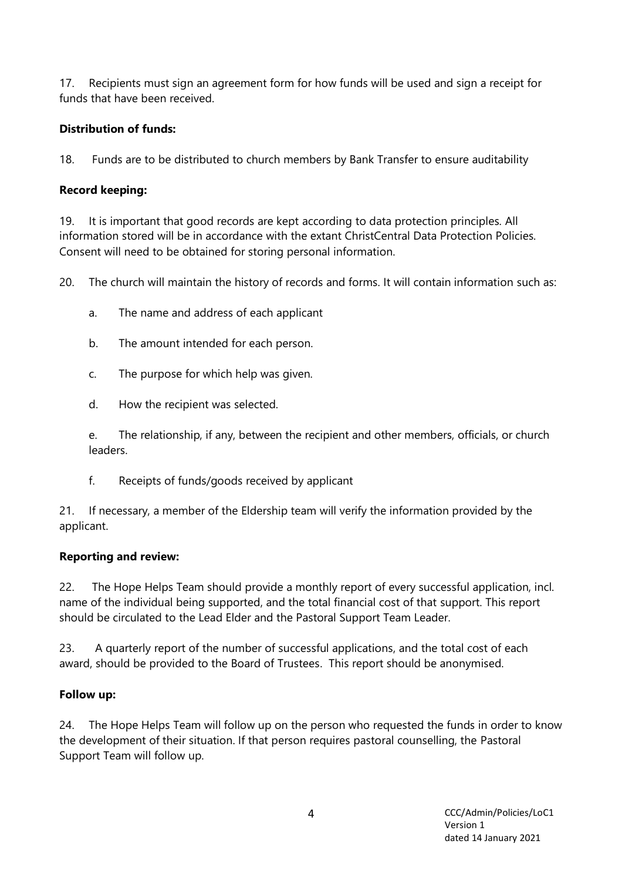17. Recipients must sign an agreement form for how funds will be used and sign a receipt for funds that have been received.

# **Distribution of funds:**

18. Funds are to be distributed to church members by Bank Transfer to ensure auditability

### **Record keeping:**

19. It is important that good records are kept according to data protection principles. All information stored will be in accordance with the extant ChristCentral Data Protection Policies. Consent will need to be obtained for storing personal information.

20. The church will maintain the history of records and forms. It will contain information such as:

- a. The name and address of each applicant
- b. The amount intended for each person.
- c. The purpose for which help was given.
- d. How the recipient was selected.

e. The relationship, if any, between the recipient and other members, officials, or church leaders.

f. Receipts of funds/goods received by applicant

21. If necessary, a member of the Eldership team will verify the information provided by the applicant.

#### **Reporting and review:**

22. The Hope Helps Team should provide a monthly report of every successful application, incl. name of the individual being supported, and the total financial cost of that support. This report should be circulated to the Lead Elder and the Pastoral Support Team Leader.

23. A quarterly report of the number of successful applications, and the total cost of each award, should be provided to the Board of Trustees. This report should be anonymised.

# **Follow up:**

24. The Hope Helps Team will follow up on the person who requested the funds in order to know the development of their situation. If that person requires pastoral counselling, the Pastoral Support Team will follow up.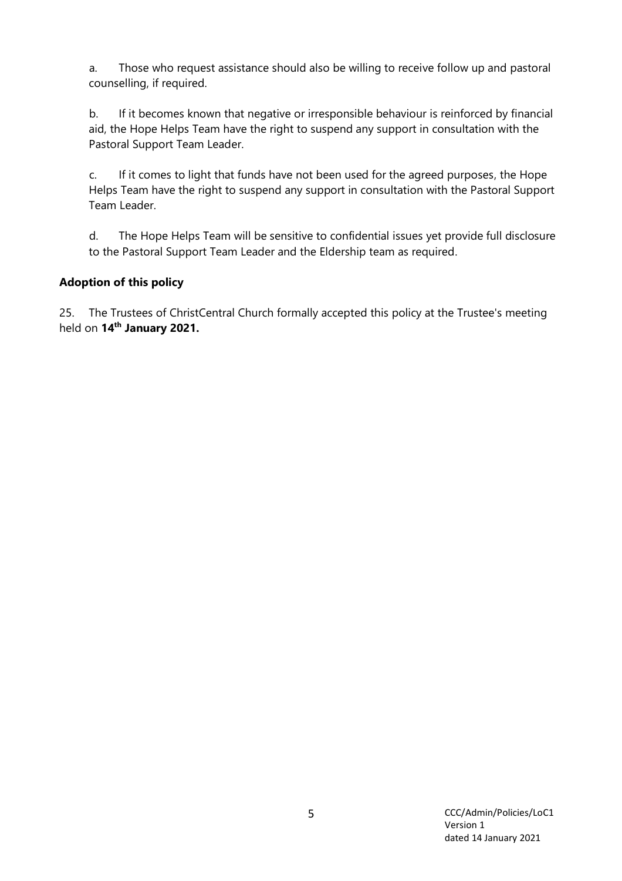a. Those who request assistance should also be willing to receive follow up and pastoral counselling, if required.

b. If it becomes known that negative or irresponsible behaviour is reinforced by financial aid, the Hope Helps Team have the right to suspend any support in consultation with the Pastoral Support Team Leader.

c. If it comes to light that funds have not been used for the agreed purposes, the Hope Helps Team have the right to suspend any support in consultation with the Pastoral Support Team Leader.

d. The Hope Helps Team will be sensitive to confidential issues yet provide full disclosure to the Pastoral Support Team Leader and the Eldership team as required.

# **Adoption of this policy**

25. The Trustees of ChristCentral Church formally accepted this policy at the Trustee's meeting held on **14th January 2021.**